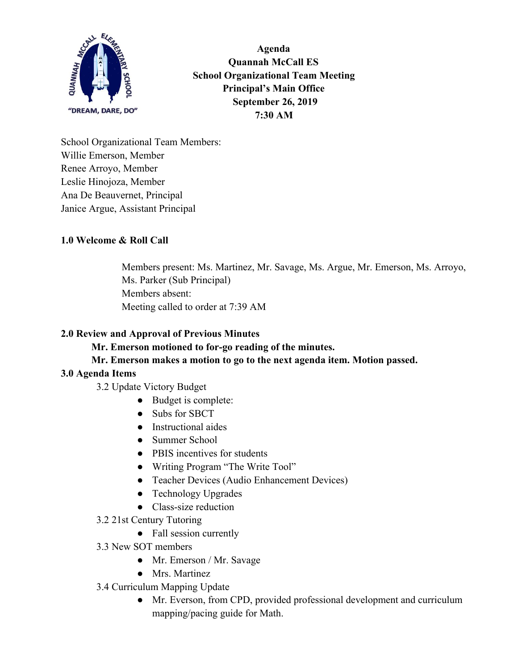

**Agenda Quannah McCall ES School Organizational Team Meeting Principal's Main Office September 26, 2019 7:30 AM**

School Organizational Team Members: Willie Emerson, Member Renee Arroyo, Member Leslie Hinojoza, Member Ana De Beauvernet, Principal Janice Argue, Assistant Principal

# **1.0 Welcome & Roll Call**

Members present: Ms. Martinez, Mr. Savage, Ms. Argue, Mr. Emerson, Ms. Arroyo, Ms. Parker (Sub Principal) Members absent: Meeting called to order at 7:39 AM

# **2.0 Review and Approval of Previous Minutes**

**Mr. Emerson motioned to for-go reading of the minutes.**

**Mr. Emerson makes a motion to go to the next agenda item. Motion passed.**

# **3.0 Agenda Items**

3.2 Update Victory Budget

- Budget is complete:
- Subs for SBCT
- Instructional aides
- Summer School
- PBIS incentives for students
- Writing Program "The Write Tool"
- Teacher Devices (Audio Enhancement Devices)
- Technology Upgrades
- Class-size reduction
- 3.2 21st Century Tutoring
	- Fall session currently
- 3.3 New SOT members
	- Mr. Emerson / Mr. Savage
	- Mrs. Martinez
- 3.4 Curriculum Mapping Update
	- Mr. Everson, from CPD, provided professional development and curriculum mapping/pacing guide for Math.